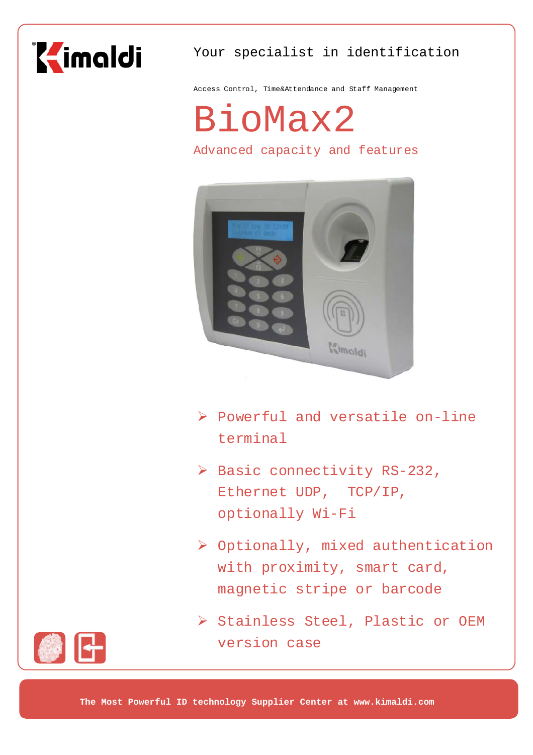

# Your specialist in identification

Access Control, Time&Attendance and Staff Management

BioMax2

Advanced capacity and features



- ¾ Powerful and versatile on-line terminal
- ¾ Basic connectivity RS-232, Ethernet UDP, TCP/IP, optionally Wi-Fi
- ¾ Optionally, mixed authentication with proximity, smart card, magnetic stripe or barcode
- ¾ Stainless Steel, Plastic or OEM version case